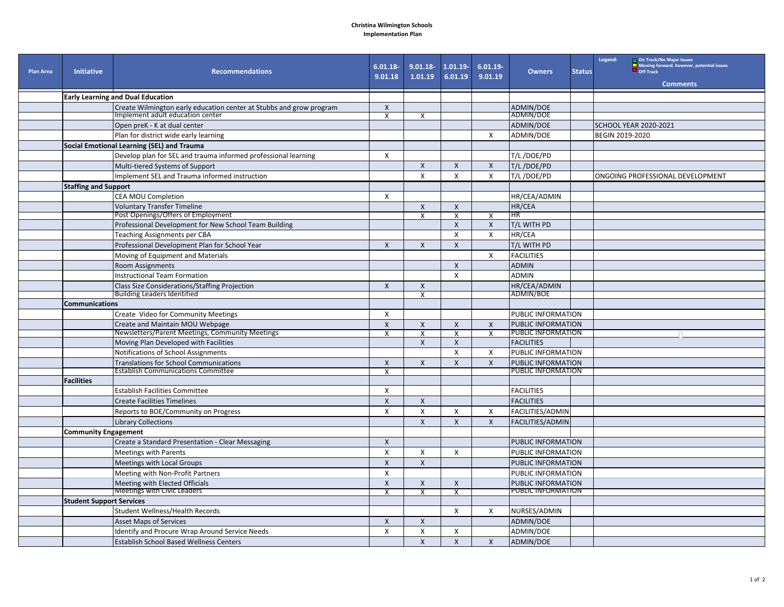## **Christina Wilmington Schools Implementation Plan**

| <b>Plan Area</b> | <b>Initiative</b>               | <b>Recommendations</b>                                                                                          | $6.01.18 -$<br>9.01.18    | $9.01.18 -$<br>1.01.19    | $1.01.19 -$<br>6.01.19    | $6.01.19 -$<br>9.01.19 | <b>Owners</b>             | <b>Status</b> | Legend:<br>On Track/No Major Issues<br>Moving forward, however, potential issues<br>Off Track<br><b>Comments</b> |
|------------------|---------------------------------|-----------------------------------------------------------------------------------------------------------------|---------------------------|---------------------------|---------------------------|------------------------|---------------------------|---------------|------------------------------------------------------------------------------------------------------------------|
|                  |                                 |                                                                                                                 |                           |                           |                           |                        |                           |               |                                                                                                                  |
|                  |                                 | <b>Early Learning and Dual Education</b><br>Create Wilmington early education center at Stubbs and grow program | $\pmb{\times}$            |                           |                           |                        | ADMIN/DOE                 |               |                                                                                                                  |
|                  |                                 | Implement adult education center                                                                                | X                         | X                         |                           |                        | ADMIN/DOE                 |               |                                                                                                                  |
|                  |                                 | Open preK - K at dual center                                                                                    |                           |                           |                           |                        | <b>ADMIN/DOE</b>          |               | <b>SCHOOL YEAR 2020-2021</b>                                                                                     |
|                  |                                 | Plan for district wide early learning                                                                           |                           |                           |                           | X                      | <b>ADMIN/DOE</b>          |               | BEGIN 2019-2020                                                                                                  |
|                  |                                 | Social Emotional Learning (SEL) and Trauma                                                                      |                           |                           |                           |                        |                           |               |                                                                                                                  |
|                  |                                 | Develop plan for SEL and trauma informed professional learning                                                  | X                         |                           |                           |                        | T/L/DOE/PD                |               |                                                                                                                  |
|                  |                                 | Multi-tiered Systems of Support                                                                                 |                           | $\mathsf{X}$              | $\mathsf{X}$              | $\mathsf{x}$           | T/L/DOE/PD                |               |                                                                                                                  |
|                  |                                 | Implement SEL and Trauma informed instruction                                                                   |                           | $\boldsymbol{\mathsf{X}}$ | $\mathsf{X}$              | X                      | T/L/DOE/PD                |               | ONGOING PROFESSIONAL DEVELOPMENT                                                                                 |
|                  | <b>Staffing and Support</b>     |                                                                                                                 |                           |                           |                           |                        |                           |               |                                                                                                                  |
|                  |                                 | <b>CEA MOU Completion</b>                                                                                       | X                         |                           |                           |                        | HR/CEA/ADMIN              |               |                                                                                                                  |
|                  |                                 | <b>Voluntary Transfer Timeline</b>                                                                              |                           | $\mathsf{X}$              | $\boldsymbol{X}$          |                        | HR/CEA                    |               |                                                                                                                  |
|                  |                                 | Post Openings/Offers of Employment                                                                              |                           | $\overline{X}$            | $\overline{\mathbf{x}}$   | X                      | HR                        |               |                                                                                                                  |
|                  |                                 | Professional Development for New School Team Building                                                           |                           |                           | $\boldsymbol{\mathsf{X}}$ | X                      | T/L WITH PD               |               |                                                                                                                  |
|                  |                                 | Teaching Assignments per CBA                                                                                    |                           |                           | $\boldsymbol{\mathsf{x}}$ | X                      | HR/CEA                    |               |                                                                                                                  |
|                  |                                 | Professional Development Plan for School Year                                                                   | $\mathsf{X}$              | $\mathsf{X}$              | $\mathsf{X}$              |                        | T/L WITH PD               |               |                                                                                                                  |
|                  |                                 | Moving of Equipment and Materials                                                                               |                           |                           |                           | X                      | <b>FACILITIES</b>         |               |                                                                                                                  |
|                  |                                 | Room Assignments                                                                                                |                           |                           | $\boldsymbol{X}$          |                        | <b>ADMIN</b>              |               |                                                                                                                  |
|                  |                                 | <b>Instructional Team Formation</b>                                                                             |                           |                           | $\mathsf{x}$              |                        | <b>ADMIN</b>              |               |                                                                                                                  |
|                  |                                 | <b>Class Size Considerations/Staffing Projection</b>                                                            | $\mathsf{X}$              | X                         |                           |                        | HR/CEA/ADMIN              |               |                                                                                                                  |
|                  |                                 | <b>Building Leaders Identified</b>                                                                              |                           | X                         |                           |                        | ADMIN/BOE                 |               |                                                                                                                  |
|                  | <b>Communications</b>           |                                                                                                                 |                           |                           |                           |                        |                           |               |                                                                                                                  |
|                  |                                 | Create Video for Community Meetings                                                                             | X                         |                           |                           |                        | PUBLIC INFORMATION        |               |                                                                                                                  |
|                  |                                 | Create and Maintain MOU Webpage                                                                                 | $\mathsf{X}$              | $\mathsf{x}$              | $\boldsymbol{X}$          | $\mathsf{X}$           | PUBLIC INFORMATION        |               |                                                                                                                  |
|                  |                                 | Newsletters/Parent Meetings, Community Meetings                                                                 | $\mathsf{x}$              | X                         | $\overline{\mathbf{x}}$   | X                      | PUBLIC INFORMATION        |               |                                                                                                                  |
|                  |                                 | Moving Plan Developed with Facilities                                                                           |                           | $\boldsymbol{X}$          | $\boldsymbol{X}$          |                        | <b>FACILITIES</b>         |               |                                                                                                                  |
|                  |                                 | Notifications of School Assignments                                                                             |                           |                           | $\mathsf{x}$              | X                      | PUBLIC INFORMATION        |               |                                                                                                                  |
|                  |                                 | <b>Translations for School Communications</b>                                                                   | $\mathsf{X}$              | $\mathsf{X}$              | $\mathsf{x}$              | $\mathsf{x}$           | <b>PUBLIC INFORMATION</b> |               |                                                                                                                  |
|                  |                                 | <b>Establish Communications Committee</b>                                                                       | $\mathbf{x}$              |                           |                           |                        | PUBLIC INFORMATION        |               |                                                                                                                  |
|                  | <b>Facilities</b>               |                                                                                                                 |                           |                           |                           |                        |                           |               |                                                                                                                  |
|                  |                                 | <b>Establish Facilities Committee</b>                                                                           | $\boldsymbol{\mathsf{X}}$ |                           |                           |                        | <b>FACILITIES</b>         |               |                                                                                                                  |
|                  |                                 | <b>Create Facilities Timelines</b>                                                                              | $\pmb{\times}$            | $\mathsf{X}$              |                           |                        | <b>FACILITIES</b>         |               |                                                                                                                  |
|                  |                                 | Reports to BOE/Community on Progress                                                                            | $\mathsf{x}$              | $\mathsf{x}$              | X                         | X                      | <b>FACILITIES/ADMIN</b>   |               |                                                                                                                  |
|                  |                                 | <b>Library Collections</b>                                                                                      |                           | $\mathsf{X}$              | $\mathsf{x}$              | $\mathsf{X}$           | <b>FACILITIES/ADMIN</b>   |               |                                                                                                                  |
|                  | <b>Community Engagement</b>     |                                                                                                                 |                           |                           |                           |                        |                           |               |                                                                                                                  |
|                  |                                 | Create a Standard Presentation - Clear Messaging                                                                | $\mathsf{X}$              |                           |                           |                        | PUBLIC INFORMATION        |               |                                                                                                                  |
|                  |                                 | <b>Meetings with Parents</b>                                                                                    | $\mathsf{X}$              | X                         | X                         |                        | PUBLIC INFORMATION        |               |                                                                                                                  |
|                  |                                 | Meetings with Local Groups                                                                                      | $\boldsymbol{\mathsf{X}}$ | $\mathsf{x}$              |                           |                        | PUBLIC INFORMATION        |               |                                                                                                                  |
|                  |                                 | Meeting with Non-Profit Partners                                                                                | $\pmb{\chi}$              |                           |                           |                        | PUBLIC INFORMATION        |               |                                                                                                                  |
|                  |                                 | Meeting with Elected Officials                                                                                  | $\pmb{\times}$            | $\mathsf{X}$              | $\boldsymbol{X}$          |                        | PUBLIC INFORMATION        |               |                                                                                                                  |
|                  |                                 | <b>Meetings with Civic Leaders</b>                                                                              | $\overline{\mathbf{x}}$   | $\overline{\mathsf{x}}$   | $\overline{\mathsf{x}}$   |                        | PUBLIC INFORMATION        |               |                                                                                                                  |
|                  | <b>Student Support Services</b> |                                                                                                                 |                           |                           |                           |                        |                           |               |                                                                                                                  |
|                  |                                 | Student Wellness/Health Records                                                                                 |                           |                           | X                         | X                      | NURSES/ADMIN              |               |                                                                                                                  |
|                  |                                 | <b>Asset Maps of Services</b>                                                                                   | $\boldsymbol{X}$          | $\mathsf{X}$              |                           |                        | <b>ADMIN/DOE</b>          |               |                                                                                                                  |
|                  |                                 | Identify and Procure Wrap Around Service Needs                                                                  | X                         | $\boldsymbol{\mathsf{X}}$ | X                         |                        | <b>ADMIN/DOE</b>          |               |                                                                                                                  |
|                  |                                 | <b>Establish School Based Wellness Centers</b>                                                                  |                           | $\mathsf{X}$              | $\mathsf{X}$              | X                      | <b>ADMIN/DOE</b>          |               |                                                                                                                  |